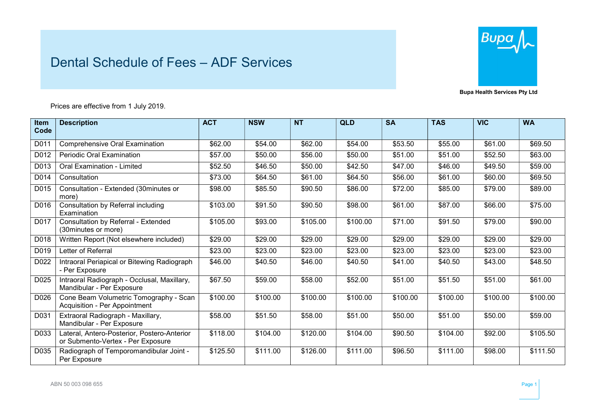## Dental Schedule of Fees – ADF Services



Bupa Health Services Pty Ltd

Prices are effective from 1 July 2019.

| <b>Item</b><br>Code | <b>Description</b>                                                               | <b>ACT</b> | <b>NSW</b> | <b>NT</b> | <b>QLD</b> | <b>SA</b> | <b>TAS</b> | <b>VIC</b> | <b>WA</b> |
|---------------------|----------------------------------------------------------------------------------|------------|------------|-----------|------------|-----------|------------|------------|-----------|
|                     |                                                                                  |            |            |           |            |           |            |            |           |
| D011                | <b>Comprehensive Oral Examination</b>                                            | \$62.00    | \$54.00    | \$62.00   | \$54.00    | \$53.50   | \$55.00    | \$61.00    | \$69.50   |
| D012                | <b>Periodic Oral Examination</b>                                                 | \$57.00    | \$50.00    | \$56.00   | \$50.00    | \$51.00   | \$51.00    | \$52.50    | \$63.00   |
| D013                | Oral Examination - Limited                                                       | \$52.50    | \$46.50    | \$50.00   | \$42.50    | \$47.00   | \$46.00    | \$49.50    | \$59.00   |
| D014                | Consultation                                                                     | \$73.00    | \$64.50    | \$61.00   | \$64.50    | \$56.00   | \$61.00    | \$60.00    | \$69.50   |
| D015                | Consultation - Extended (30minutes or<br>more)                                   | \$98.00    | \$85.50    | \$90.50   | \$86.00    | \$72.00   | \$85.00    | \$79.00    | \$89.00   |
| D016                | Consultation by Referral including<br>Examination                                | \$103.00   | \$91.50    | \$90.50   | \$98.00    | \$61.00   | \$87.00    | \$66.00    | \$75.00   |
| D017                | Consultation by Referral - Extended<br>(30minutes or more)                       | \$105.00   | \$93.00    | \$105.00  | \$100.00   | \$71.00   | \$91.50    | \$79.00    | \$90.00   |
| D018                | Written Report (Not elsewhere included)                                          | \$29.00    | \$29.00    | \$29.00   | \$29.00    | \$29.00   | \$29.00    | \$29.00    | \$29.00   |
| D019                | Letter of Referral                                                               | \$23.00    | \$23.00    | \$23.00   | \$23.00    | \$23.00   | \$23.00    | \$23.00    | \$23.00   |
| D022                | Intraoral Periapical or Bitewing Radiograph<br>- Per Exposure                    | \$46.00    | \$40.50    | \$46.00   | \$40.50    | \$41.00   | \$40.50    | \$43.00    | \$48.50   |
| D025                | Intraoral Radiograph - Occlusal, Maxillary,<br>Mandibular - Per Exposure         | \$67.50    | \$59.00    | \$58.00   | \$52.00    | \$51.00   | \$51.50    | \$51.00    | \$61.00   |
| D026                | Cone Beam Volumetric Tomography - Scan<br>Acquisition - Per Appointment          | \$100.00   | \$100.00   | \$100.00  | \$100.00   | \$100.00  | \$100.00   | \$100.00   | \$100.00  |
| D031                | Extraoral Radiograph - Maxillary,<br>Mandibular - Per Exposure                   | \$58.00    | \$51.50    | \$58.00   | \$51.00    | \$50.00   | \$51.00    | \$50.00    | \$59.00   |
| D033                | Lateral, Antero-Posterior, Postero-Anterior<br>or Submento-Vertex - Per Exposure | \$118.00   | \$104.00   | \$120.00  | \$104.00   | \$90.50   | \$104.00   | \$92.00    | \$105.50  |
| D035                | Radiograph of Temporomandibular Joint -<br>Per Exposure                          | \$125.50   | \$111.00   | \$126.00  | \$111.00   | \$96.50   | \$111.00   | \$98.00    | \$111.50  |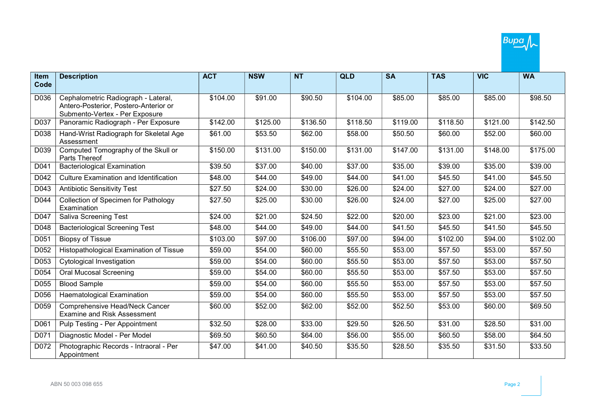| <b>Item</b><br>Code | <b>Description</b>                                                                                             | <b>ACT</b> | <b>NSW</b> | <b>NT</b> | QLD      | <b>SA</b> | <b>TAS</b> | <b>VIC</b> | <b>WA</b> |
|---------------------|----------------------------------------------------------------------------------------------------------------|------------|------------|-----------|----------|-----------|------------|------------|-----------|
|                     |                                                                                                                |            |            |           |          |           |            |            |           |
| D036                | Cephalometric Radiograph - Lateral,<br>Antero-Posterior, Postero-Anterior or<br>Submento-Vertex - Per Exposure | \$104.00   | \$91.00    | \$90.50   | \$104.00 | \$85.00   | \$85.00    | \$85.00    | \$98.50   |
| D037                | Panoramic Radiograph - Per Exposure                                                                            | \$142.00   | \$125.00   | \$136.50  | \$118.50 | \$119.00  | \$118.50   | \$121.00   | \$142.50  |
| D038                | Hand-Wrist Radiograph for Skeletal Age<br>Assessment                                                           | \$61.00    | \$53.50    | \$62.00   | \$58.00  | \$50.50   | \$60.00    | \$52.00    | \$60.00   |
| D039                | Computed Tomography of the Skull or<br>Parts Thereof                                                           | \$150.00   | \$131.00   | \$150.00  | \$131.00 | \$147.00  | \$131.00   | \$148.00   | \$175.00  |
| D041                | <b>Bacteriological Examination</b>                                                                             | \$39.50    | \$37.00    | \$40.00   | \$37.00  | \$35.00   | \$39.00    | \$35.00    | \$39.00   |
| D042                | <b>Culture Examination and Identification</b>                                                                  | \$48.00    | \$44.00    | \$49.00   | \$44.00  | \$41.00   | \$45.50    | \$41.00    | \$45.50   |
| D043                | <b>Antibiotic Sensitivity Test</b>                                                                             | \$27.50    | \$24.00    | \$30.00   | \$26.00  | \$24.00   | \$27.00    | \$24.00    | \$27.00   |
| D044                | Collection of Specimen for Pathology<br>Examination                                                            | \$27.50    | \$25.00    | \$30.00   | \$26.00  | \$24.00   | \$27.00    | \$25.00    | \$27.00   |
| D047                | <b>Saliva Screening Test</b>                                                                                   | \$24.00    | \$21.00    | \$24.50   | \$22.00  | \$20.00   | \$23.00    | \$21.00    | \$23.00   |
| D048                | <b>Bacteriological Screening Test</b>                                                                          | \$48.00    | \$44.00    | \$49.00   | \$44.00  | \$41.50   | \$45.50    | \$41.50    | \$45.50   |
| D051                | <b>Biopsy of Tissue</b>                                                                                        | \$103.00   | \$97.00    | \$106.00  | \$97.00  | \$94.00   | \$102.00   | \$94.00    | \$102.00  |
| D052                | Histopathological Examination of Tissue                                                                        | \$59.00    | \$54.00    | \$60.00   | \$55.50  | \$53.00   | \$57.50    | \$53.00    | \$57.50   |
| D053                | Cytological Investigation                                                                                      | \$59.00    | \$54.00    | \$60.00   | \$55.50  | \$53.00   | \$57.50    | \$53.00    | \$57.50   |
| D054                | <b>Oral Mucosal Screening</b>                                                                                  | \$59.00    | \$54.00    | \$60.00   | \$55.50  | \$53.00   | \$57.50    | \$53.00    | \$57.50   |
| D055                | <b>Blood Sample</b>                                                                                            | \$59.00    | \$54.00    | \$60.00   | \$55.50  | \$53.00   | \$57.50    | \$53.00    | \$57.50   |
| D056                | <b>Haematological Examination</b>                                                                              | \$59.00    | \$54.00    | \$60.00   | \$55.50  | \$53.00   | \$57.50    | \$53.00    | \$57.50   |
| D059                | Comprehensive Head/Neck Cancer<br><b>Examine and Risk Assessment</b>                                           | \$60.00    | \$52.00    | \$62.00   | \$52.00  | \$52.50   | \$53.00    | \$60.00    | \$69.50   |
| D061                | Pulp Testing - Per Appointment                                                                                 | \$32.50    | \$28.00    | \$33.00   | \$29.50  | \$26.50   | \$31.00    | \$28.50    | \$31.00   |
| D071                | Diagnostic Model - Per Model                                                                                   | \$69.50    | \$60.50    | \$64.00   | \$56.00  | \$55.00   | \$60.50    | \$58.00    | \$64.50   |
| D072                | Photographic Records - Intraoral - Per<br>Appointment                                                          | \$47.00    | \$41.00    | \$40.50   | \$35.50  | \$28.50   | \$35.50    | \$31.50    | \$33.50   |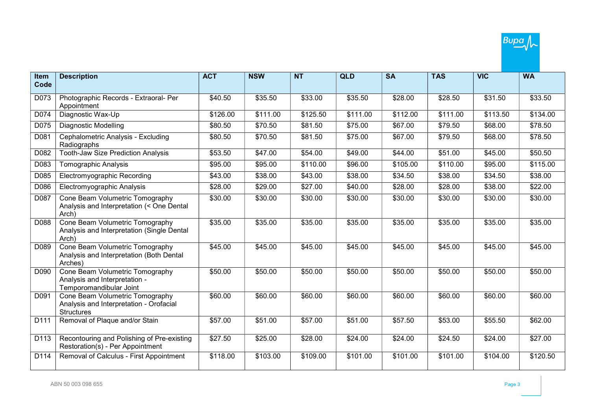

| Item | <b>Description</b>                                                                              | <b>ACT</b> | <b>NSW</b> | <b>NT</b> | <b>QLD</b> | <b>SA</b> | <b>TAS</b> | <b>VIC</b> | <b>WA</b> |
|------|-------------------------------------------------------------------------------------------------|------------|------------|-----------|------------|-----------|------------|------------|-----------|
| Code |                                                                                                 |            |            |           |            |           |            |            |           |
| D073 | Photographic Records - Extraoral- Per<br>Appointment                                            | \$40.50    | \$35.50    | \$33.00   | \$35.50    | \$28.00   | \$28.50    | \$31.50    | \$33.50   |
| D074 | Diagnostic Wax-Up                                                                               | \$126.00   | \$111.00   | \$125.50  | \$111.00   | \$112.00  | \$111.00   | \$113.50   | \$134.00  |
| D075 | <b>Diagnostic Modelling</b>                                                                     | \$80.50    | \$70.50    | \$81.50   | \$75.00    | \$67.00   | \$79.50    | \$68.00    | \$78.50   |
| D081 | Cephalometric Analysis - Excluding<br>Radiographs                                               | \$80.50    | \$70.50    | \$81.50   | \$75.00    | \$67.00   | \$79.50    | \$68.00    | \$78.50   |
| D082 | <b>Tooth-Jaw Size Prediction Analysis</b>                                                       | \$53.50    | \$47.00    | \$54.00   | \$49.00    | \$44.00   | \$51.00    | \$45.00    | \$50.50   |
| D083 | <b>Tomographic Analysis</b>                                                                     | \$95.00    | \$95.00    | \$110.00  | \$96.00    | \$105.00  | \$110.00   | \$95.00    | \$115.00  |
| D085 | Electromyographic Recording                                                                     | \$43.00    | \$38.00    | \$43.00   | \$38.00    | \$34.50   | \$38.00    | \$34.50    | \$38.00   |
| D086 | Electromyographic Analysis                                                                      | \$28.00    | \$29.00    | \$27.00   | \$40.00    | \$28.00   | \$28.00    | \$38.00    | \$22.00   |
| D087 | Cone Beam Volumetric Tomography<br>Analysis and Interpretation (< One Dental<br>Arch)           | \$30.00    | \$30.00    | \$30.00   | \$30.00    | \$30.00   | \$30.00    | \$30.00    | \$30.00   |
| D088 | Cone Beam Volumetric Tomography<br>Analysis and Interpretation (Single Dental<br>Arch)          | \$35.00    | \$35.00    | \$35.00   | \$35.00    | \$35.00   | \$35.00    | \$35.00    | \$35.00   |
| D089 | Cone Beam Volumetric Tomography<br>Analysis and Interpretation (Both Dental<br>Arches)          | \$45.00    | \$45.00    | \$45.00   | \$45.00    | \$45.00   | \$45.00    | \$45.00    | \$45.00   |
| D090 | Cone Beam Volumetric Tomography<br>Analysis and Interpretation -<br>Temporomandibular Joint     | \$50.00    | \$50.00    | \$50.00   | \$50.00    | \$50.00   | \$50.00    | \$50.00    | \$50.00   |
| D091 | Cone Beam Volumetric Tomography<br>Analysis and Interpretation - Orofacial<br><b>Structures</b> | \$60.00    | \$60.00    | \$60.00   | \$60.00    | \$60.00   | \$60.00    | \$60.00    | \$60.00   |
| D111 | Removal of Plaque and/or Stain                                                                  | \$57.00    | \$51.00    | \$57.00   | \$51.00    | \$57.50   | \$53.00    | \$55.50    | \$62.00   |
| D113 | Recontouring and Polishing of Pre-existing<br>Restoration(s) - Per Appointment                  | \$27.50    | \$25.00    | \$28.00   | \$24.00    | \$24.00   | \$24.50    | \$24.00    | \$27.00   |
| D114 | Removal of Calculus - First Appointment                                                         | \$118.00   | \$103.00   | \$109.00  | \$101.00   | \$101.00  | \$101.00   | \$104.00   | \$120.50  |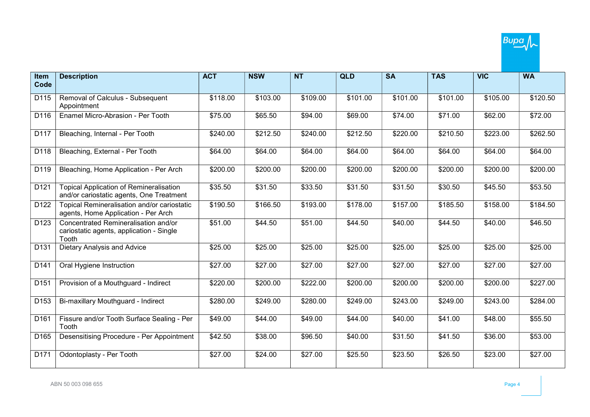| <b>Item</b><br>Code | <b>Description</b>                                                                         | <b>ACT</b> | <b>NSW</b> | <b>NT</b> | <b>QLD</b> | <b>SA</b> | <b>TAS</b> | <b>VIC</b>           | <b>WA</b> |
|---------------------|--------------------------------------------------------------------------------------------|------------|------------|-----------|------------|-----------|------------|----------------------|-----------|
|                     |                                                                                            |            |            |           |            |           |            |                      |           |
| D115                | Removal of Calculus - Subsequent<br>Appointment                                            | \$118.00   | \$103.00   | \$109.00  | \$101.00   | \$101.00  | \$101.00   | $\overline{$}105.00$ | \$120.50  |
| D116                | Enamel Micro-Abrasion - Per Tooth                                                          | \$75.00    | \$65.50    | \$94.00   | \$69.00    | \$74.00   | \$71.00    | \$62.00              | \$72.00   |
| D117                | Bleaching, Internal - Per Tooth                                                            | \$240.00   | \$212.50   | \$240.00  | \$212.50   | \$220.00  | \$210.50   | \$223.00             | \$262.50  |
| D118                | Bleaching, External - Per Tooth                                                            | \$64.00    | \$64.00    | \$64.00   | \$64.00    | \$64.00   | \$64.00    | \$64.00              | \$64.00   |
| D119                | Bleaching, Home Application - Per Arch                                                     | \$200.00   | \$200.00   | \$200.00  | \$200.00   | \$200.00  | \$200.00   | \$200.00             | \$200.00  |
| D121                | <b>Topical Application of Remineralisation</b><br>and/or cariostatic agents, One Treatment | \$35.50    | \$31.50    | \$33.50   | \$31.50    | \$31.50   | \$30.50    | \$45.50              | \$53.50   |
| D <sub>122</sub>    | Topical Remineralisation and/or cariostatic<br>agents, Home Application - Per Arch         | \$190.50   | \$166.50   | \$193.00  | \$178.00   | \$157.00  | \$185.50   | \$158.00             | \$184.50  |
| D <sub>123</sub>    | Concentrated Remineralisation and/or<br>cariostatic agents, application - Single<br>Tooth  | \$51.00    | \$44.50    | \$51.00   | \$44.50    | \$40.00   | \$44.50    | \$40.00              | \$46.50   |
| D131                | Dietary Analysis and Advice                                                                | \$25.00    | \$25.00    | \$25.00   | \$25.00    | \$25.00   | \$25.00    | \$25.00              | \$25.00   |
| D141                | Oral Hygiene Instruction                                                                   | \$27.00    | \$27.00    | \$27.00   | \$27.00    | \$27.00   | \$27.00    | \$27.00              | \$27.00   |
| D151                | Provision of a Mouthguard - Indirect                                                       | \$220.00   | \$200.00   | \$222.00  | \$200.00   | \$200.00  | \$200.00   | \$200.00             | \$227.00  |
| D153                | Bi-maxillary Mouthguard - Indirect                                                         | \$280.00   | \$249.00   | \$280.00  | \$249.00   | \$243.00  | \$249.00   | \$243.00             | \$284.00  |
| D161                | Fissure and/or Tooth Surface Sealing - Per<br>Tooth                                        | \$49.00    | \$44.00    | \$49.00   | \$44.00    | \$40.00   | \$41.00    | \$48.00              | \$55.50   |
| D165                | Desensitising Procedure - Per Appointment                                                  | \$42.50    | \$38.00    | \$96.50   | \$40.00    | \$31.50   | \$41.50    | \$36.00              | \$53.00   |
| D171                | Odontoplasty - Per Tooth                                                                   | \$27.00    | \$24.00    | \$27.00   | \$25.50    | \$23.50   | \$26.50    | \$23.00              | \$27.00   |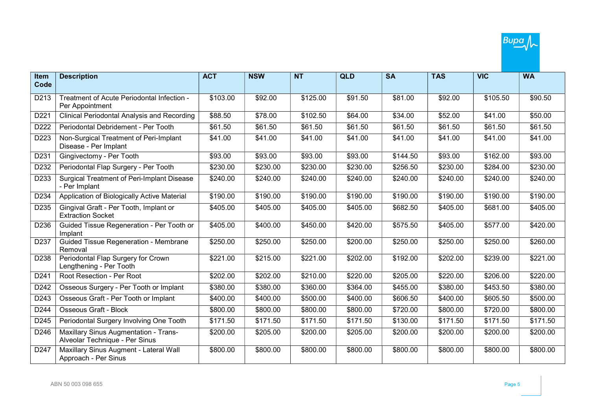

| Item | <b>Description</b>                                                      | <b>ACT</b> | <b>NSW</b> | <b>NT</b> | <b>QLD</b> | <b>SA</b> | <b>TAS</b> | <b>VIC</b> | <b>WA</b>           |
|------|-------------------------------------------------------------------------|------------|------------|-----------|------------|-----------|------------|------------|---------------------|
| Code |                                                                         |            |            |           |            |           |            |            |                     |
| D213 | Treatment of Acute Periodontal Infection -<br>Per Appointment           | \$103.00   | \$92.00    | \$125.00  | \$91.50    | \$81.00   | \$92.00    | \$105.50   | $\overline{$90.50}$ |
| D221 | <b>Clinical Periodontal Analysis and Recording</b>                      | \$88.50    | \$78.00    | \$102.50  | \$64.00    | \$34.00   | \$52.00    | \$41.00    | \$50.00             |
| D222 | Periodontal Debridement - Per Tooth                                     | \$61.50    | \$61.50    | \$61.50   | \$61.50    | \$61.50   | \$61.50    | \$61.50    | \$61.50             |
| D223 | Non-Surgical Treatment of Peri-Implant<br>Disease - Per Implant         | \$41.00    | \$41.00    | \$41.00   | \$41.00    | \$41.00   | \$41.00    | \$41.00    | \$41.00             |
| D231 | Gingivectomy - Per Tooth                                                | \$93.00    | \$93.00    | \$93.00   | \$93.00    | \$144.50  | \$93.00    | \$162.00   | \$93.00             |
| D232 | Periodontal Flap Surgery - Per Tooth                                    | \$230.00   | \$230.00   | \$230.00  | \$230.00   | \$256.50  | \$230.00   | \$284.00   | \$230.00            |
| D233 | Surgical Treatment of Peri-Implant Disease<br>- Per Implant             | \$240.00   | \$240.00   | \$240.00  | \$240.00   | \$240.00  | \$240.00   | \$240.00   | \$240.00            |
| D234 | Application of Biologically Active Material                             | \$190.00   | \$190.00   | \$190.00  | \$190.00   | \$190.00  | \$190.00   | \$190.00   | \$190.00            |
| D235 | Gingival Graft - Per Tooth, Implant or<br><b>Extraction Socket</b>      | \$405.00   | \$405.00   | \$405.00  | \$405.00   | \$682.50  | \$405.00   | \$681.00   | \$405.00            |
| D236 | Guided Tissue Regeneration - Per Tooth or<br>Implant                    | \$405.00   | \$400.00   | \$450.00  | \$420.00   | \$575.50  | \$405.00   | \$577.00   | \$420.00            |
| D237 | Guided Tissue Regeneration - Membrane<br>Removal                        | \$250.00   | \$250.00   | \$250.00  | \$200.00   | \$250.00  | \$250.00   | \$250.00   | \$260.00            |
| D238 | Periodontal Flap Surgery for Crown<br>Lengthening - Per Tooth           | \$221.00   | \$215.00   | \$221.00  | \$202.00   | \$192.00  | \$202.00   | \$239.00   | \$221.00            |
| D241 | Root Resection - Per Root                                               | \$202.00   | \$202.00   | \$210.00  | \$220.00   | \$205.00  | \$220.00   | \$206.00   | \$220.00            |
| D242 | Osseous Surgery - Per Tooth or Implant                                  | \$380.00   | \$380.00   | \$360.00  | \$364.00   | \$455.00  | \$380.00   | \$453.50   | \$380.00            |
| D243 | Osseous Graft - Per Tooth or Implant                                    | \$400.00   | \$400.00   | \$500.00  | \$400.00   | \$606.50  | \$400.00   | \$605.50   | \$500.00            |
| D244 | <b>Osseous Graft - Block</b>                                            | \$800.00   | \$800.00   | \$800.00  | \$800.00   | \$720.00  | \$800.00   | \$720.00   | \$800.00            |
| D245 | Periodontal Surgery Involving One Tooth                                 | \$171.50   | \$171.50   | \$171.50  | \$171.50   | \$130.00  | \$171.50   | \$171.50   | \$171.50            |
| D246 | Maxillary Sinus Augmentation - Trans-<br>Alveolar Technique - Per Sinus | \$200.00   | \$205.00   | \$200.00  | \$205.00   | \$200.00  | \$200.00   | \$200.00   | \$200.00            |
| D247 | Maxillary Sinus Augment - Lateral Wall<br>Approach - Per Sinus          | \$800.00   | \$800.00   | \$800.00  | \$800.00   | \$800.00  | \$800.00   | \$800.00   | \$800.00            |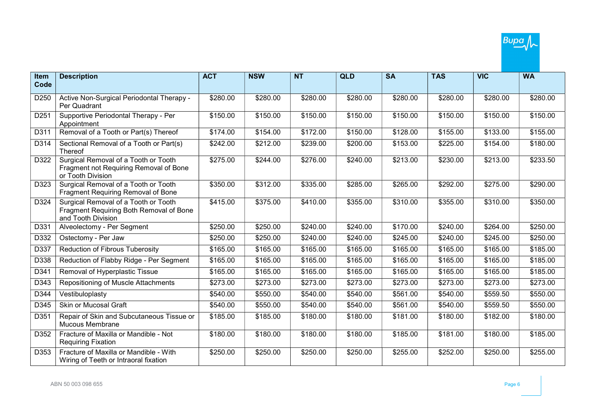| Item             | <b>Description</b>                                                                                    | <b>ACT</b> | <b>NSW</b> | <b>NT</b> | <b>QLD</b>       | <b>SA</b> | <b>TAS</b> | <b>VIC</b> | <b>WA</b> |
|------------------|-------------------------------------------------------------------------------------------------------|------------|------------|-----------|------------------|-----------|------------|------------|-----------|
| Code             |                                                                                                       |            |            |           |                  |           |            |            |           |
| D250             | Active Non-Surgical Periodontal Therapy -<br>Per Quadrant                                             | \$280.00   | \$280.00   | \$280.00  | $\sqrt{$280.00}$ | \$280.00  | \$280.00   | \$280.00   | \$280.00  |
| D <sub>251</sub> | Supportive Periodontal Therapy - Per<br>Appointment                                                   | \$150.00   | \$150.00   | \$150.00  | \$150.00         | \$150.00  | \$150.00   | \$150.00   | \$150.00  |
| D311             | Removal of a Tooth or Part(s) Thereof                                                                 | \$174.00   | \$154.00   | \$172.00  | \$150.00         | \$128.00  | \$155.00   | \$133.00   | \$155.00  |
| D314             | Sectional Removal of a Tooth or Part(s)<br>Thereof                                                    | \$242.00   | \$212.00   | \$239.00  | \$200.00         | \$153.00  | \$225.00   | \$154.00   | \$180.00  |
| D322             | Surgical Removal of a Tooth or Tooth<br>Fragment not Requiring Removal of Bone<br>or Tooth Division   | \$275.00   | \$244.00   | \$276.00  | \$240.00         | \$213.00  | \$230.00   | \$213.00   | \$233.50  |
| D323             | Surgical Removal of a Tooth or Tooth<br>Fragment Requiring Removal of Bone                            | \$350.00   | \$312.00   | \$335.00  | \$285.00         | \$265.00  | \$292.00   | \$275.00   | \$290.00  |
| D324             | Surgical Removal of a Tooth or Tooth<br>Fragment Requiring Both Removal of Bone<br>and Tooth Division | \$415.00   | \$375.00   | \$410.00  | \$355.00         | \$310.00  | \$355.00   | \$310.00   | \$350.00  |
| D331             | Alveolectomy - Per Segment                                                                            | \$250.00   | \$250.00   | \$240.00  | \$240.00         | \$170.00  | \$240.00   | \$264.00   | \$250.00  |
| D332             | Ostectomy - Per Jaw                                                                                   | \$250.00   | \$250.00   | \$240.00  | \$240.00         | \$245.00  | \$240.00   | \$245.00   | \$250.00  |
| D337             | Reduction of Fibrous Tuberosity                                                                       | \$165.00   | \$165.00   | \$165.00  | \$165.00         | \$165.00  | \$165.00   | \$165.00   | \$185.00  |
| D338             | Reduction of Flabby Ridge - Per Segment                                                               | \$165.00   | \$165.00   | \$165.00  | \$165.00         | \$165.00  | \$165.00   | \$165.00   | \$185.00  |
| D341             | Removal of Hyperplastic Tissue                                                                        | \$165.00   | \$165.00   | \$165.00  | \$165.00         | \$165.00  | \$165.00   | \$165.00   | \$185.00  |
| D343             | Repositioning of Muscle Attachments                                                                   | \$273.00   | \$273.00   | \$273.00  | \$273.00         | \$273.00  | \$273.00   | \$273.00   | \$273.00  |
| D344             | Vestibuloplasty                                                                                       | \$540.00   | \$550.00   | \$540.00  | \$540.00         | \$561.00  | \$540.00   | \$559.50   | \$550.00  |
| D345             | <b>Skin or Mucosal Graft</b>                                                                          | \$540.00   | \$550.00   | \$540.00  | \$540.00         | \$561.00  | \$540.00   | \$559.50   | \$550.00  |
| D351             | Repair of Skin and Subcutaneous Tissue or<br>Mucous Membrane                                          | \$185.00   | \$185.00   | \$180.00  | \$180.00         | \$181.00  | \$180.00   | \$182.00   | \$180.00  |
| D352             | Fracture of Maxilla or Mandible - Not<br><b>Requiring Fixation</b>                                    | \$180.00   | \$180.00   | \$180.00  | \$180.00         | \$185.00  | \$181.00   | \$180.00   | \$185.00  |
| D353             | Fracture of Maxilla or Mandible - With<br>Wiring of Teeth or Intraoral fixation                       | \$250.00   | \$250.00   | \$250.00  | \$250.00         | \$255.00  | \$252.00   | \$250.00   | \$255.00  |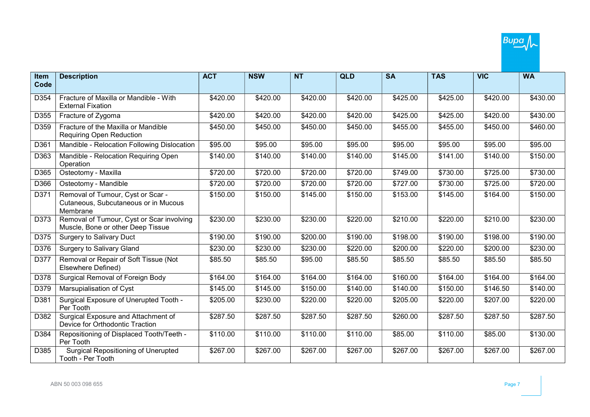| Item | <b>Description</b>                                                                    | <b>ACT</b> | <b>NSW</b> | <b>NT</b>        | <b>QLD</b> | <b>SA</b> | <b>TAS</b> | <b>VIC</b>       | <b>WA</b> |
|------|---------------------------------------------------------------------------------------|------------|------------|------------------|------------|-----------|------------|------------------|-----------|
| Code |                                                                                       |            |            |                  |            |           |            |                  |           |
| D354 | Fracture of Maxilla or Mandible - With<br><b>External Fixation</b>                    | \$420.00   | \$420.00   | $\sqrt{$420.00}$ | \$420.00   | \$425.00  | \$425.00   | \$420.00         | \$430.00  |
| D355 | Fracture of Zygoma                                                                    | \$420.00   | \$420.00   | \$420.00         | \$420.00   | \$425.00  | \$425.00   | \$420.00         | \$430.00  |
| D359 | Fracture of the Maxilla or Mandible<br><b>Requiring Open Reduction</b>                | \$450.00   | \$450.00   | \$450.00         | \$450.00   | \$455.00  | \$455.00   | \$450.00         | \$460.00  |
| D361 | Mandible - Relocation Following Dislocation                                           | \$95.00    | \$95.00    | \$95.00          | \$95.00    | \$95.00   | \$95.00    | \$95.00          | \$95.00   |
| D363 | Mandible - Relocation Requiring Open<br>Operation                                     | \$140.00   | \$140.00   | \$140.00         | \$140.00   | \$145.00  | \$141.00   | \$140.00         | \$150.00  |
| D365 | Osteotomy - Maxilla                                                                   | \$720.00   | \$720.00   | \$720.00         | \$720.00   | \$749.00  | \$730.00   | $\sqrt{$725.00}$ | \$730.00  |
| D366 | Osteotomy - Mandible                                                                  | \$720.00   | \$720.00   | \$720.00         | \$720.00   | \$727.00  | \$730.00   | \$725.00         | \$720.00  |
| D371 | Removal of Tumour, Cyst or Scar -<br>Cutaneous, Subcutaneous or in Mucous<br>Membrane | \$150.00   | \$150.00   | \$145.00         | \$150.00   | \$153.00  | \$145.00   | \$164.00         | \$150.00  |
| D373 | Removal of Tumour, Cyst or Scar involving<br>Muscle, Bone or other Deep Tissue        | \$230.00   | \$230.00   | \$230.00         | \$220.00   | \$210.00  | \$220.00   | \$210.00         | \$230.00  |
| D375 | <b>Surgery to Salivary Duct</b>                                                       | \$190.00   | \$190.00   | \$200.00         | \$190.00   | \$198.00  | \$190.00   | \$198.00         | \$190.00  |
| D376 | <b>Surgery to Salivary Gland</b>                                                      | \$230.00   | \$230.00   | \$230.00         | \$220.00   | \$200.00  | \$220.00   | \$200.00         | \$230.00  |
| D377 | Removal or Repair of Soft Tissue (Not<br>Elsewhere Defined)                           | \$85.50    | \$85.50    | \$95.00          | \$85.50    | \$85.50   | \$85.50    | \$85.50          | \$85.50   |
| D378 | Surgical Removal of Foreign Body                                                      | \$164.00   | \$164.00   | \$164.00         | \$164.00   | \$160.00  | \$164.00   | \$164.00         | \$164.00  |
| D379 | Marsupialisation of Cyst                                                              | \$145.00   | \$145.00   | \$150.00         | \$140.00   | \$140.00  | \$150.00   | \$146.50         | \$140.00  |
| D381 | Surgical Exposure of Unerupted Tooth -<br>Per Tooth                                   | \$205.00   | \$230.00   | \$220.00         | \$220.00   | \$205.00  | \$220.00   | \$207.00         | \$220.00  |
| D382 | Surgical Exposure and Attachment of<br>Device for Orthodontic Traction                | \$287.50   | \$287.50   | \$287.50         | \$287.50   | \$260.00  | \$287.50   | \$287.50         | \$287.50  |
| D384 | Repositioning of Displaced Tooth/Teeth -<br>Per Tooth                                 | \$110.00   | \$110.00   | \$110.00         | \$110.00   | \$85.00   | \$110.00   | \$85.00          | \$130.00  |
| D385 | <b>Surgical Repositioning of Unerupted</b><br>Tooth - Per Tooth                       | \$267.00   | \$267.00   | \$267.00         | \$267.00   | \$267.00  | \$267.00   | \$267.00         | \$267.00  |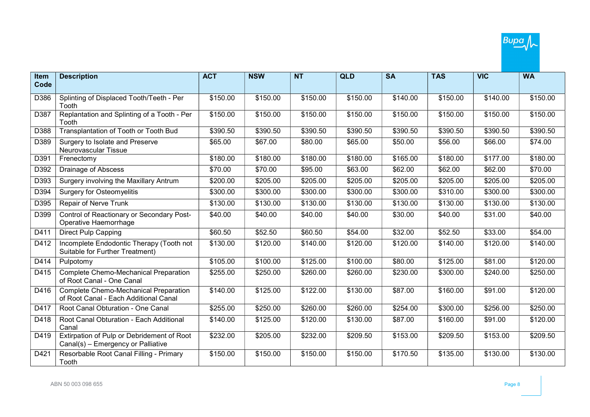

| <b>Item</b> | <b>Description</b>                                                               | <b>ACT</b> | <b>NSW</b> | <b>NT</b> | <b>QLD</b>           | <b>SA</b> | <b>TAS</b> | <b>VIC</b>           | <b>WA</b> |
|-------------|----------------------------------------------------------------------------------|------------|------------|-----------|----------------------|-----------|------------|----------------------|-----------|
| Code        |                                                                                  |            |            |           |                      |           |            |                      |           |
| D386        | Splinting of Displaced Tooth/Teeth - Per<br>Tooth                                | \$150.00   | \$150.00   | \$150.00  | \$150.00             | \$140.00  | \$150.00   | \$140.00             | \$150.00  |
| D387        | Replantation and Splinting of a Tooth - Per<br>Tooth                             | \$150.00   | \$150.00   | \$150.00  | \$150.00             | \$150.00  | \$150.00   | \$150.00             | \$150.00  |
| D388        | Transplantation of Tooth or Tooth Bud                                            | \$390.50   | \$390.50   | \$390.50  | \$390.50             | \$390.50  | \$390.50   | \$390.50             | \$390.50  |
| D389        | Surgery to Isolate and Preserve<br>Neurovascular Tissue                          | \$65.00    | \$67.00    | \$80.00   | \$65.00              | \$50.00   | \$56.00    | \$66.00              | \$74.00   |
| D391        | Frenectomy                                                                       | \$180.00   | \$180.00   | \$180.00  | \$180.00             | \$165.00  | \$180.00   | \$177.00             | \$180.00  |
| D392        | Drainage of Abscess                                                              | \$70.00    | \$70.00    | \$95.00   | \$63.00              | \$62.00   | \$62.00    | \$62.00              | \$70.00   |
| D393        | Surgery involving the Maxillary Antrum                                           | \$200.00   | \$205.00   | \$205.00  | \$205.00             | \$205.00  | \$205.00   | \$205.00             | \$205.00  |
| D394        | <b>Surgery for Osteomyelitis</b>                                                 | \$300.00   | \$300.00   | \$300.00  | \$300.00             | \$300.00  | \$310.00   | \$300.00             | \$300.00  |
| D395        | Repair of Nerve Trunk                                                            | \$130.00   | \$130.00   | \$130.00  | \$130.00             | \$130.00  | \$130.00   | \$130.00             | \$130.00  |
| D399        | Control of Reactionary or Secondary Post-<br>Operative Haemorrhage               | \$40.00    | \$40.00    | \$40.00   | \$40.00              | \$30.00   | \$40.00    | \$31.00              | \$40.00   |
| D411        | <b>Direct Pulp Capping</b>                                                       | \$60.50    | \$52.50    | \$60.50   | \$54.00              | \$32.00   | \$52.50    | \$33.00              | \$54.00   |
| D412        | Incomplete Endodontic Therapy (Tooth not<br>Suitable for Further Treatment)      | \$130.00   | \$120.00   | \$140.00  | \$120.00             | \$120.00  | \$140.00   | \$120.00             | \$140.00  |
| D414        | Pulpotomy                                                                        | \$105.00   | \$100.00   | \$125.00  | \$100.00             | \$80.00   | \$125.00   | \$81.00              | \$120.00  |
| D415        | Complete Chemo-Mechanical Preparation<br>of Root Canal - One Canal               | \$255.00   | \$250.00   | \$260.00  | \$260.00             | \$230.00  | \$300.00   | \$240.00             | \$250.00  |
| D416        | Complete Chemo-Mechanical Preparation<br>of Root Canal - Each Additional Canal   | \$140.00   | \$125.00   | \$122.00  | \$130.00             | \$87.00   | \$160.00   | \$91.00              | \$120.00  |
| D417        | Root Canal Obturation - One Canal                                                | \$255.00   | \$250.00   | \$260.00  | \$260.00             | \$254.00  | \$300.00   | \$256.00             | \$250.00  |
| D418        | Root Canal Obturation - Each Additional<br>Canal                                 | \$140.00   | \$125.00   | \$120.00  | \$130.00             | \$87.00   | \$160.00   | \$91.00              | \$120.00  |
| D419        | Extirpation of Pulp or Debridement of Root<br>Canal(s) - Emergency or Palliative | \$232.00   | \$205.00   | \$232.00  | \$209.50             | \$153.00  | \$209.50   | \$153.00             | \$209.50  |
| D421        | Resorbable Root Canal Filling - Primary<br>Tooth                                 | \$150.00   | \$150.00   | \$150.00  | $\overline{$}150.00$ | \$170.50  | \$135.00   | $\overline{$}130.00$ | \$130.00  |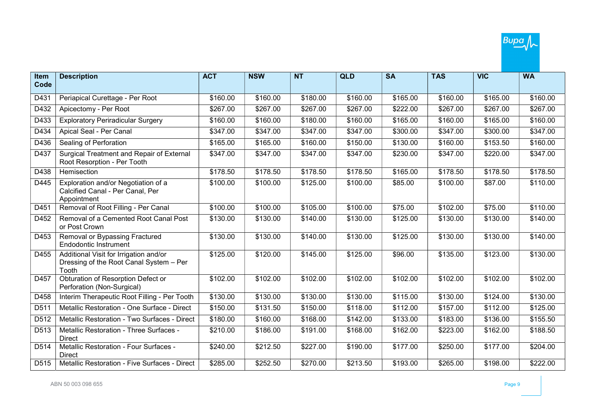

| Item | <b>Description</b>                                                                         | <b>ACT</b> | <b>NSW</b>           | <b>NT</b> | <b>QLD</b> | <b>SA</b> | <b>TAS</b> | <b>VIC</b> | <b>WA</b> |
|------|--------------------------------------------------------------------------------------------|------------|----------------------|-----------|------------|-----------|------------|------------|-----------|
| Code |                                                                                            |            |                      |           |            |           |            |            |           |
| D431 | Periapical Curettage - Per Root                                                            | \$160.00   | \$160.00             | \$180.00  | \$160.00   | \$165.00  | \$160.00   | \$165.00   | \$160.00  |
| D432 | Apicectomy - Per Root                                                                      | \$267.00   | \$267.00             | \$267.00  | \$267.00   | \$222.00  | \$267.00   | \$267.00   | \$267.00  |
| D433 | <b>Exploratory Periradicular Surgery</b>                                                   | \$160.00   | \$160.00             | \$180.00  | \$160.00   | \$165.00  | \$160.00   | \$165.00   | \$160.00  |
| D434 | Apical Seal - Per Canal                                                                    | \$347.00   | \$347.00             | \$347.00  | \$347.00   | \$300.00  | \$347.00   | \$300.00   | \$347.00  |
| D436 | Sealing of Perforation                                                                     | \$165.00   | \$165.00             | \$160.00  | \$150.00   | \$130.00  | \$160.00   | \$153.50   | \$160.00  |
| D437 | Surgical Treatment and Repair of External<br>Root Resorption - Per Tooth                   | \$347.00   | \$347.00             | \$347.00  | \$347.00   | \$230.00  | \$347.00   | \$220.00   | \$347.00  |
| D438 | Hemisection                                                                                | \$178.50   | $\overline{$}178.50$ | \$178.50  | \$178.50   | \$165.00  | \$178.50   | \$178.50   | \$178.50  |
| D445 | Exploration and/or Negotiation of a<br>Calcified Canal - Per Canal, Per<br>Appointment     | \$100.00   | \$100.00             | \$125.00  | \$100.00   | \$85.00   | \$100.00   | \$87.00    | \$110.00  |
| D451 | Removal of Root Filling - Per Canal                                                        | \$100.00   | \$100.00             | \$105.00  | \$100.00   | \$75.00   | \$102.00   | \$75.00    | \$110.00  |
| D452 | Removal of a Cemented Root Canal Post<br>or Post Crown                                     | \$130.00   | \$130.00             | \$140.00  | \$130.00   | \$125.00  | \$130.00   | \$130.00   | \$140.00  |
| D453 | Removal or Bypassing Fractured<br>Endodontic Instrument                                    | \$130.00   | \$130.00             | \$140.00  | \$130.00   | \$125.00  | \$130.00   | \$130.00   | \$140.00  |
| D455 | Additional Visit for Irrigation and/or<br>Dressing of the Root Canal System - Per<br>Tooth | \$125.00   | \$120.00             | \$145.00  | \$125.00   | \$96.00   | \$135.00   | \$123.00   | \$130.00  |
| D457 | Obturation of Resorption Defect or<br>Perforation (Non-Surgical)                           | \$102.00   | \$102.00             | \$102.00  | \$102.00   | \$102.00  | \$102.00   | \$102.00   | \$102.00  |
| D458 | Interim Therapeutic Root Filling - Per Tooth                                               | \$130.00   | \$130.00             | \$130.00  | \$130.00   | \$115.00  | \$130.00   | \$124.00   | \$130.00  |
| D511 | Metallic Restoration - One Surface - Direct                                                | \$150.00   | \$131.50             | \$150.00  | \$118.00   | \$112.00  | \$157.00   | \$112.00   | \$125.00  |
| D512 | Metallic Restoration - Two Surfaces - Direct                                               | \$180.00   | \$160.00             | \$168.00  | \$142.00   | \$133.00  | \$183.00   | \$136.00   | \$155.50  |
| D513 | Metallic Restoration - Three Surfaces -<br><b>Direct</b>                                   | \$210.00   | \$186.00             | \$191.00  | \$168.00   | \$162.00  | \$223.00   | \$162.00   | \$188.50  |
| D514 | Metallic Restoration - Four Surfaces -<br><b>Direct</b>                                    | \$240.00   | \$212.50             | \$227.00  | \$190.00   | \$177.00  | \$250.00   | \$177.00   | \$204.00  |
| D515 | Metallic Restoration - Five Surfaces - Direct                                              | \$285.00   | \$252.50             | \$270.00  | \$213.50   | \$193.00  | \$265.00   | \$198.00   | \$222.00  |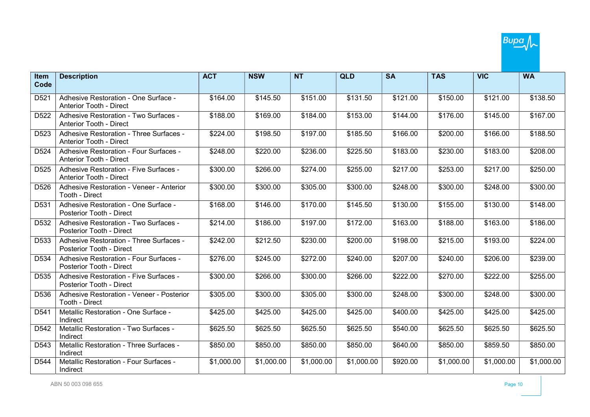| Item             | <b>Description</b>                                                        | <b>ACT</b>           | <b>NSW</b> | <b>NT</b>  | <b>QLD</b>           | <b>SA</b> | <b>TAS</b> | <b>VIC</b>           | <b>WA</b>  |
|------------------|---------------------------------------------------------------------------|----------------------|------------|------------|----------------------|-----------|------------|----------------------|------------|
| Code             |                                                                           |                      |            |            |                      |           |            |                      |            |
| D521             | Adhesive Restoration - One Surface -<br>Anterior Tooth - Direct           | \$164.00             | \$145.50   | \$151.00   | \$131.50             | \$121.00  | \$150.00   | \$121.00             | \$138.50   |
| D <sub>522</sub> | Adhesive Restoration - Two Surfaces -<br>Anterior Tooth - Direct          | \$188.00             | \$169.00   | \$184.00   | \$153.00             | \$144.00  | \$176.00   | \$145.00             | \$167.00   |
| D <sub>523</sub> | Adhesive Restoration - Three Surfaces -<br><b>Anterior Tooth - Direct</b> | \$224.00             | \$198.50   | \$197.00   | \$185.50             | \$166.00  | \$200.00   | \$166.00             | \$188.50   |
| D <sub>524</sub> | Adhesive Restoration - Four Surfaces -<br>Anterior Tooth - Direct         | \$248.00             | \$220.00   | \$236.00   | \$225.50             | \$183.00  | \$230.00   | \$183.00             | \$208.00   |
| D <sub>525</sub> | Adhesive Restoration - Five Surfaces -<br>Anterior Tooth - Direct         | \$300.00             | \$266.00   | \$274.00   | \$255.00             | \$217.00  | \$253.00   | \$217.00             | \$250.00   |
| D <sub>526</sub> | Adhesive Restoration - Veneer - Anterior<br>Tooth - Direct                | $\overline{$}300.00$ | \$300.00   | \$305.00   | \$300.00             | \$248.00  | \$300.00   | \$248.00             | \$300.00   |
| D531             | Adhesive Restoration - One Surface -<br>Posterior Tooth - Direct          | \$168.00             | \$146.00   | \$170.00   | \$145.50             | \$130.00  | \$155.00   | $\overline{$}130.00$ | \$148.00   |
| D532             | Adhesive Restoration - Two Surfaces -<br>Posterior Tooth - Direct         | \$214.00             | \$186.00   | \$197.00   | \$172.00             | \$163.00  | \$188.00   | \$163.00             | \$186.00   |
| D <sub>533</sub> | Adhesive Restoration - Three Surfaces -<br>Posterior Tooth - Direct       | \$242.00             | \$212.50   | \$230.00   | \$200.00             | \$198.00  | \$215.00   | \$193.00             | \$224.00   |
| D534             | Adhesive Restoration - Four Surfaces -<br>Posterior Tooth - Direct        | \$276.00             | \$245.00   | \$272.00   | \$240.00             | \$207.00  | \$240.00   | \$206.00             | \$239.00   |
| D535             | Adhesive Restoration - Five Surfaces -<br>Posterior Tooth - Direct        | \$300.00             | \$266.00   | \$300.00   | $\overline{$}266.00$ | \$222.00  | \$270.00   | \$222.00             | \$255.00   |
| D536             | Adhesive Restoration - Veneer - Posterior<br>Tooth - Direct               | \$305.00             | \$300.00   | \$305.00   | \$300.00             | \$248.00  | \$300.00   | \$248.00             | \$300.00   |
| D541             | Metallic Restoration - One Surface -<br>Indirect                          | \$425.00             | \$425.00   | \$425.00   | \$425.00             | \$400.00  | \$425.00   | \$425.00             | \$425.00   |
| D542             | Metallic Restoration - Two Surfaces -<br>Indirect                         | \$625.50             | \$625.50   | \$625.50   | $\overline{$625.50}$ | \$540.00  | \$625.50   | \$625.50             | \$625.50   |
| D543             | Metallic Restoration - Three Surfaces -<br>Indirect                       | \$850.00             | \$850.00   | \$850.00   | \$850.00             | \$640.00  | \$850.00   | \$859.50             | \$850.00   |
| D544             | Metallic Restoration - Four Surfaces -<br>Indirect                        | \$1,000.00           | \$1,000.00 | \$1,000.00 | \$1,000.00           | \$920.00  | \$1,000.00 | \$1,000.00           | \$1,000.00 |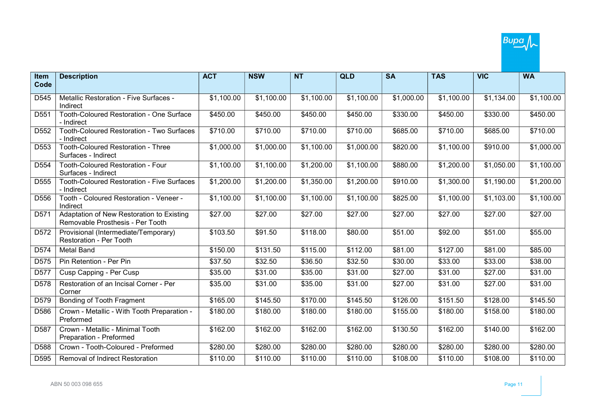| <b>Item</b>      | <b>Description</b>                                                            | <b>ACT</b> | <b>NSW</b> | <b>NT</b>  | <b>QLD</b> | <b>SA</b>  | <b>TAS</b> | <b>VIC</b> | <b>WA</b>  |
|------------------|-------------------------------------------------------------------------------|------------|------------|------------|------------|------------|------------|------------|------------|
| Code             |                                                                               |            |            |            |            |            |            |            |            |
| D545             | Metallic Restoration - Five Surfaces -<br>Indirect                            | \$1,100.00 | \$1,100.00 | \$1,100.00 | \$1,100.00 | \$1,000.00 | \$1,100.00 | \$1,134.00 | \$1,100.00 |
| D551             | Tooth-Coloured Restoration - One Surface<br>- Indirect                        | \$450.00   | \$450.00   | \$450.00   | \$450.00   | \$330.00   | \$450.00   | \$330.00   | \$450.00   |
| D <sub>552</sub> | Tooth-Coloured Restoration - Two Surfaces<br>- Indirect                       | \$710.00   | \$710.00   | \$710.00   | \$710.00   | \$685.00   | \$710.00   | \$685.00   | \$710.00   |
| D553             | <b>Tooth-Coloured Restoration - Three</b><br>Surfaces - Indirect              | \$1,000.00 | \$1,000.00 | \$1,100.00 | \$1,000.00 | \$820.00   | \$1,100.00 | \$910.00   | \$1,000.00 |
| D554             | Tooth-Coloured Restoration - Four<br>Surfaces - Indirect                      | \$1,100.00 | \$1,100.00 | \$1,200.00 | \$1,100.00 | \$880.00   | \$1,200.00 | \$1,050.00 | \$1,100.00 |
| D <sub>555</sub> | <b>Tooth-Coloured Restoration - Five Surfaces</b><br>- Indirect               | \$1,200.00 | \$1,200.00 | \$1,350.00 | \$1,200.00 | \$910.00   | \$1,300.00 | \$1,190.00 | \$1,200.00 |
| D556             | Tooth - Coloured Restoration - Veneer -<br>Indirect                           | \$1,100.00 | \$1,100.00 | \$1,100.00 | \$1,100.00 | \$825.00   | \$1,100.00 | \$1,103.00 | \$1,100.00 |
| D571             | Adaptation of New Restoration to Existing<br>Removable Prosthesis - Per Tooth | \$27.00    | \$27.00    | \$27.00    | \$27.00    | \$27.00    | \$27.00    | \$27.00    | \$27.00    |
| D572             | Provisional (Intermediate/Temporary)<br><b>Restoration - Per Tooth</b>        | \$103.50   | \$91.50    | \$118.00   | \$80.00    | \$51.00    | \$92.00    | \$51.00    | \$55.00    |
| D <sub>574</sub> | <b>Metal Band</b>                                                             | \$150.00   | \$131.50   | \$115.00   | \$112.00   | \$81.00    | \$127.00   | \$81.00    | \$85.00    |
| D575             | Pin Retention - Per Pin                                                       | \$37.50    | \$32.50    | \$36.50    | \$32.50    | \$30.00    | \$33.00    | \$33.00    | \$38.00    |
| D577             | Cusp Capping - Per Cusp                                                       | \$35.00    | \$31.00    | \$35.00    | \$31.00    | \$27.00    | \$31.00    | \$27.00    | \$31.00    |
| D578             | Restoration of an Incisal Corner - Per<br>Corner                              | \$35.00    | \$31.00    | \$35.00    | \$31.00    | \$27.00    | \$31.00    | \$27.00    | \$31.00    |
| D579             | Bonding of Tooth Fragment                                                     | \$165.00   | \$145.50   | \$170.00   | \$145.50   | \$126.00   | \$151.50   | \$128.00   | \$145.50   |
| D586             | Crown - Metallic - With Tooth Preparation -<br>Preformed                      | \$180.00   | \$180.00   | \$180.00   | \$180.00   | \$155.00   | \$180.00   | \$158.00   | \$180.00   |
| D <sub>587</sub> | Crown - Metallic - Minimal Tooth<br>Preparation - Preformed                   | \$162.00   | \$162.00   | \$162.00   | \$162.00   | \$130.50   | \$162.00   | \$140.00   | \$162.00   |
| D588             | Crown - Tooth-Coloured - Preformed                                            | \$280.00   | \$280.00   | \$280.00   | \$280.00   | \$280.00   | \$280.00   | \$280.00   | \$280.00   |
| D <sub>595</sub> | <b>Removal of Indirect Restoration</b>                                        | \$110.00   | \$110.00   | \$110.00   | \$110.00   | \$108.00   | \$110.00   | \$108.00   | \$110.00   |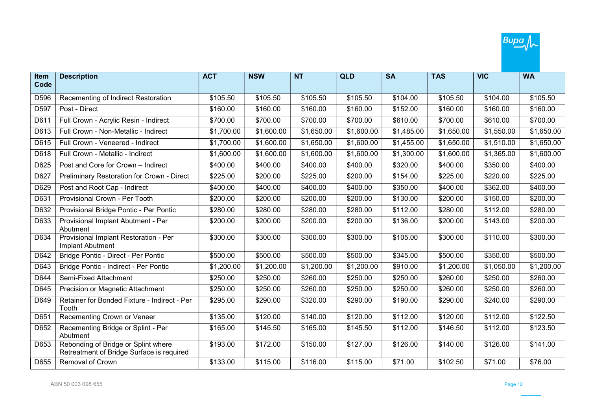

| Item<br>Code | <b>Description</b>                                                               | <b>ACT</b> | <b>NSW</b> | <b>NT</b>  | <b>QLD</b> | <b>SA</b>  | <b>TAS</b> | <b>VIC</b> | <b>WA</b>  |
|--------------|----------------------------------------------------------------------------------|------------|------------|------------|------------|------------|------------|------------|------------|
|              |                                                                                  |            |            |            |            |            |            |            |            |
| D596         | Recementing of Indirect Restoration                                              | \$105.50   | \$105.50   | \$105.50   | \$105.50   | \$104.00   | \$105.50   | \$104.00   | \$105.50   |
| D597         | Post - Direct                                                                    | \$160.00   | \$160.00   | \$160.00   | \$160.00   | \$152.00   | \$160.00   | \$160.00   | \$160.00   |
| D611         | Full Crown - Acrylic Resin - Indirect                                            | \$700.00   | \$700.00   | \$700.00   | \$700.00   | \$610.00   | \$700.00   | \$610.00   | \$700.00   |
| D613         | Full Crown - Non-Metallic - Indirect                                             | \$1,700.00 | \$1,600.00 | \$1,650.00 | \$1,600.00 | \$1,485.00 | \$1,650.00 | \$1,550.00 | \$1,650.00 |
| D615         | Full Crown - Veneered - Indirect                                                 | \$1,700.00 | \$1,600.00 | \$1,650.00 | \$1,600.00 | \$1,455.00 | \$1,650.00 | \$1,510.00 | \$1,650.00 |
| D618         | Full Crown - Metallic - Indirect                                                 | \$1,600.00 | \$1,600.00 | \$1,600.00 | \$1,600.00 | \$1,300.00 | \$1,600.00 | \$1,365.00 | \$1,600.00 |
| D625         | Post and Core for Crown - Indirect                                               | \$400.00   | \$400.00   | \$400.00   | \$400.00   | \$320.00   | \$400.00   | \$350.00   | \$400.00   |
| D627         | Preliminary Restoration for Crown - Direct                                       | \$225.00   | \$200.00   | \$225.00   | \$200.00   | \$154.00   | \$225.00   | \$220.00   | \$225.00   |
| D629         | Post and Root Cap - Indirect                                                     | \$400.00   | \$400.00   | \$400.00   | \$400.00   | \$350.00   | \$400.00   | \$362.00   | \$400.00   |
| D631         | Provisional Crown - Per Tooth                                                    | \$200.00   | \$200.00   | \$200.00   | \$200.00   | \$130.00   | \$200.00   | \$150.00   | \$200.00   |
| D632         | Provisional Bridge Pontic - Per Pontic                                           | \$280.00   | \$280.00   | \$280.00   | \$280.00   | \$112.00   | \$280.00   | \$112.00   | \$280.00   |
| D633         | Provisional Implant Abutment - Per<br>Abutment                                   | \$200.00   | \$200.00   | \$200.00   | \$200.00   | \$136.00   | \$200.00   | \$143.00   | \$200.00   |
| D634         | Provisional Implant Restoration - Per<br><b>Implant Abutment</b>                 | \$300.00   | \$300.00   | \$300.00   | \$300.00   | \$105.00   | \$300.00   | \$110.00   | \$300.00   |
| D642         | Bridge Pontic - Direct - Per Pontic                                              | \$500.00   | \$500.00   | \$500.00   | \$500.00   | \$345.00   | \$500.00   | \$350.00   | \$500.00   |
| D643         | Bridge Pontic - Indirect - Per Pontic                                            | \$1,200.00 | \$1,200.00 | \$1,200.00 | \$1,200.00 | \$910.00   | \$1,200.00 | \$1,050.00 | \$1,200.00 |
| D644         | Semi-Fixed Attachment                                                            | \$250.00   | \$250.00   | \$260.00   | \$250.00   | \$250.00   | \$260.00   | \$250.00   | \$260.00   |
| D645         | <b>Precision or Magnetic Attachment</b>                                          | \$250.00   | \$250.00   | \$260.00   | \$250.00   | \$250.00   | \$260.00   | \$250.00   | \$260.00   |
| D649         | Retainer for Bonded Fixture - Indirect - Per<br>Tooth                            | \$295.00   | \$290.00   | \$320.00   | \$290.00   | \$190.00   | \$290.00   | \$240.00   | \$290.00   |
| D651         | Recementing Crown or Veneer                                                      | \$135.00   | \$120.00   | \$140.00   | \$120.00   | \$112.00   | \$120.00   | \$112.00   | \$122.50   |
| D652         | Recementing Bridge or Splint - Per<br>Abutment                                   | \$165.00   | \$145.50   | \$165.00   | \$145.50   | \$112.00   | \$146.50   | \$112.00   | \$123.50   |
| D653         | Rebonding of Bridge or Splint where<br>Retreatment of Bridge Surface is required | \$193.00   | \$172.00   | \$150.00   | \$127.00   | \$126.00   | \$140.00   | \$126.00   | \$141.00   |
| D655         | Removal of Crown                                                                 | \$133.00   | \$115.00   | \$116.00   | \$115.00   | \$71.00    | \$102.50   | \$71.00    | \$76.00    |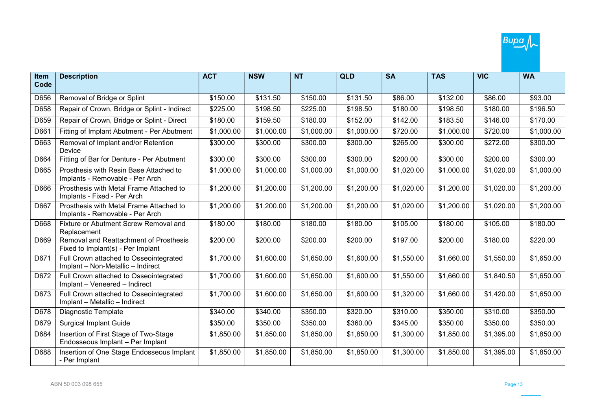

| <b>Item</b> | <b>Description</b>                                                          | <b>ACT</b> | <b>NSW</b> | <b>NT</b>  | <b>QLD</b> | <b>SA</b>  | <b>TAS</b> | <b>VIC</b> | <b>WA</b>  |
|-------------|-----------------------------------------------------------------------------|------------|------------|------------|------------|------------|------------|------------|------------|
| Code        |                                                                             |            |            |            |            |            |            |            |            |
| D656        | Removal of Bridge or Splint                                                 | \$150.00   | \$131.50   | \$150.00   | \$131.50   | \$86.00    | \$132.00   | \$86.00    | \$93.00    |
| D658        | Repair of Crown, Bridge or Splint - Indirect                                | \$225.00   | \$198.50   | \$225.00   | \$198.50   | \$180.00   | \$198.50   | \$180.00   | \$196.50   |
| D659        | Repair of Crown, Bridge or Splint - Direct                                  | \$180.00   | \$159.50   | \$180.00   | \$152.00   | \$142.00   | \$183.50   | \$146.00   | \$170.00   |
| D661        | Fitting of Implant Abutment - Per Abutment                                  | \$1,000.00 | \$1,000.00 | \$1,000.00 | \$1,000.00 | \$720.00   | \$1,000.00 | \$720.00   | \$1,000.00 |
| D663        | Removal of Implant and/or Retention<br>Device                               | \$300.00   | \$300.00   | \$300.00   | \$300.00   | \$265.00   | \$300.00   | \$272.00   | \$300.00   |
| D664        | Fitting of Bar for Denture - Per Abutment                                   | \$300.00   | \$300.00   | \$300.00   | \$300.00   | \$200.00   | \$300.00   | \$200.00   | \$300.00   |
| D665        | Prosthesis with Resin Base Attached to<br>Implants - Removable - Per Arch   | \$1,000.00 | \$1,000.00 | \$1,000.00 | \$1,000.00 | \$1,020.00 | \$1,000.00 | \$1,020.00 | \$1,000.00 |
| D666        | Prosthesis with Metal Frame Attached to<br>Implants - Fixed - Per Arch      | \$1,200.00 | \$1,200.00 | \$1,200.00 | \$1,200.00 | \$1,020.00 | \$1,200.00 | \$1,020.00 | \$1,200.00 |
| D667        | Prosthesis with Metal Frame Attached to<br>Implants - Removable - Per Arch  | \$1,200.00 | \$1,200.00 | \$1,200.00 | \$1,200.00 | \$1,020.00 | \$1,200.00 | \$1,020.00 | \$1,200.00 |
| D668        | Fixture or Abutment Screw Removal and<br>Replacement                        | \$180.00   | \$180.00   | \$180.00   | \$180.00   | \$105.00   | \$180.00   | \$105.00   | \$180.00   |
| D669        | Removal and Reattachment of Prosthesis<br>Fixed to Implant(s) - Per Implant | \$200.00   | \$200.00   | \$200.00   | \$200.00   | \$197.00   | \$200.00   | \$180.00   | \$220.00   |
| D671        | Full Crown attached to Osseointegrated<br>Implant - Non-Metallic - Indirect | \$1,700.00 | \$1,600.00 | \$1,650.00 | \$1,600.00 | \$1,550.00 | \$1,660.00 | \$1,550.00 | \$1,650.00 |
| D672        | Full Crown attached to Osseointegrated<br>Implant - Veneered - Indirect     | \$1,700.00 | \$1,600.00 | \$1,650.00 | \$1,600.00 | \$1,550.00 | \$1,660.00 | \$1,840.50 | \$1,650.00 |
| D673        | Full Crown attached to Osseointegrated<br>Implant - Metallic - Indirect     | \$1,700.00 | \$1,600.00 | \$1,650.00 | \$1,600.00 | \$1,320.00 | \$1,660.00 | \$1,420.00 | \$1,650.00 |
| D678        | <b>Diagnostic Template</b>                                                  | \$340.00   | \$340.00   | \$350.00   | \$320.00   | \$310.00   | \$350.00   | \$310.00   | \$350.00   |
| D679        | <b>Surgical Implant Guide</b>                                               | \$350.00   | \$350.00   | \$350.00   | \$360.00   | \$345.00   | \$350.00   | \$350.00   | \$350.00   |
| D684        | Insertion of First Stage of Two-Stage<br>Endosseous Implant - Per Implant   | \$1,850.00 | \$1,850.00 | \$1,850.00 | \$1,850.00 | \$1,300.00 | \$1,850.00 | \$1,395.00 | \$1,850.00 |
| D688        | Insertion of One Stage Endosseous Implant<br>- Per Implant                  | \$1,850.00 | \$1,850.00 | \$1,850.00 | \$1,850.00 | \$1,300.00 | \$1,850.00 | \$1,395.00 | \$1,850.00 |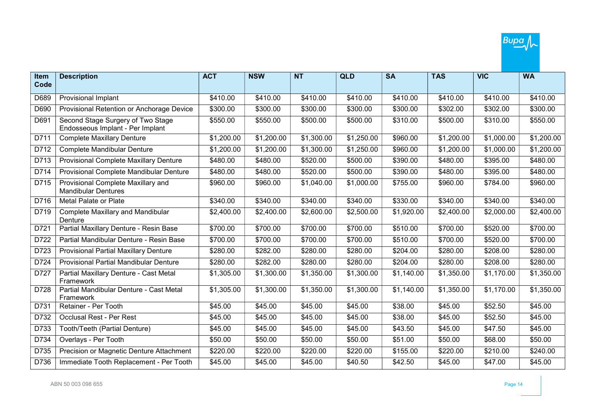

| Item | <b>Description</b>                                                    | <b>ACT</b> | <b>NSW</b> | <b>NT</b>  | <b>QLD</b> | <b>SA</b>  | <b>TAS</b> | <b>VIC</b> | <b>WA</b>  |
|------|-----------------------------------------------------------------------|------------|------------|------------|------------|------------|------------|------------|------------|
| Code |                                                                       |            |            |            |            |            |            |            |            |
| D689 | Provisional Implant                                                   | \$410.00   | \$410.00   | \$410.00   | \$410.00   | \$410.00   | \$410.00   | \$410.00   | \$410.00   |
| D690 | Provisional Retention or Anchorage Device                             | \$300.00   | \$300.00   | \$300.00   | \$300.00   | \$300.00   | \$302.00   | \$302.00   | \$300.00   |
| D691 | Second Stage Surgery of Two Stage<br>Endosseous Implant - Per Implant | \$550.00   | \$550.00   | \$500.00   | \$500.00   | \$310.00   | \$500.00   | \$310.00   | \$550.00   |
| D711 | <b>Complete Maxillary Denture</b>                                     | \$1,200.00 | \$1,200.00 | \$1,300.00 | \$1,250.00 | \$960.00   | \$1,200.00 | \$1,000.00 | \$1,200.00 |
| D712 | <b>Complete Mandibular Denture</b>                                    | \$1,200.00 | \$1,200.00 | \$1,300.00 | \$1,250.00 | \$960.00   | \$1,200.00 | \$1,000.00 | \$1,200.00 |
| D713 | Provisional Complete Maxillary Denture                                | \$480.00   | \$480.00   | \$520.00   | \$500.00   | \$390.00   | \$480.00   | \$395.00   | \$480.00   |
| D714 | Provisional Complete Mandibular Denture                               | \$480.00   | \$480.00   | \$520.00   | \$500.00   | \$390.00   | \$480.00   | \$395.00   | \$480.00   |
| D715 | Provisional Complete Maxillary and<br><b>Mandibular Dentures</b>      | \$960.00   | \$960.00   | \$1,040.00 | \$1,000.00 | \$755.00   | \$960.00   | \$784.00   | \$960.00   |
| D716 | Metal Palate or Plate                                                 | \$340.00   | \$340.00   | \$340.00   | \$340.00   | \$330.00   | \$340.00   | \$340.00   | \$340.00   |
| D719 | <b>Complete Maxillary and Mandibular</b><br>Denture                   | \$2,400.00 | \$2,400.00 | \$2,600.00 | \$2,500.00 | \$1,920.00 | \$2,400.00 | \$2,000.00 | \$2,400.00 |
| D721 | Partial Maxillary Denture - Resin Base                                | \$700.00   | \$700.00   | \$700.00   | \$700.00   | \$510.00   | \$700.00   | \$520.00   | \$700.00   |
| D722 | Partial Mandibular Denture - Resin Base                               | \$700.00   | \$700.00   | \$700.00   | \$700.00   | \$510.00   | \$700.00   | \$520.00   | \$700.00   |
| D723 | <b>Provisional Partial Maxillary Denture</b>                          | \$280.00   | \$282.00   | \$280.00   | \$280.00   | \$204.00   | \$280.00   | \$208.00   | \$280.00   |
| D724 | <b>Provisional Partial Mandibular Denture</b>                         | \$280.00   | \$282.00   | \$280.00   | \$280.00   | \$204.00   | \$280.00   | \$208.00   | \$280.00   |
| D727 | Partial Maxillary Denture - Cast Metal<br>Framework                   | \$1,305.00 | \$1,300.00 | \$1,350.00 | \$1,300.00 | \$1,140.00 | \$1,350.00 | \$1,170.00 | \$1,350.00 |
| D728 | Partial Mandibular Denture - Cast Metal<br>Framework                  | \$1,305.00 | \$1,300.00 | \$1,350.00 | \$1,300.00 | \$1,140.00 | \$1,350.00 | \$1,170.00 | \$1,350.00 |
| D731 | Retainer - Per Tooth                                                  | \$45.00    | \$45.00    | \$45.00    | \$45.00    | \$38.00    | \$45.00    | \$52.50    | \$45.00    |
| D732 | Occlusal Rest - Per Rest                                              | \$45.00    | \$45.00    | \$45.00    | \$45.00    | \$38.00    | \$45.00    | \$52.50    | \$45.00    |
| D733 | Tooth/Teeth (Partial Denture)                                         | \$45.00    | \$45.00    | \$45.00    | \$45.00    | \$43.50    | \$45.00    | \$47.50    | \$45.00    |
| D734 | Overlays - Per Tooth                                                  | \$50.00    | \$50.00    | \$50.00    | \$50.00    | \$51.00    | \$50.00    | \$68.00    | \$50.00    |
| D735 | Precision or Magnetic Denture Attachment                              | \$220.00   | \$220.00   | \$220.00   | \$220.00   | \$155.00   | \$220.00   | \$210.00   | \$240.00   |
| D736 | Immediate Tooth Replacement - Per Tooth                               | \$45.00    | \$45.00    | \$45.00    | \$40.50    | \$42.50    | \$45.00    | \$47.00    | \$45.00    |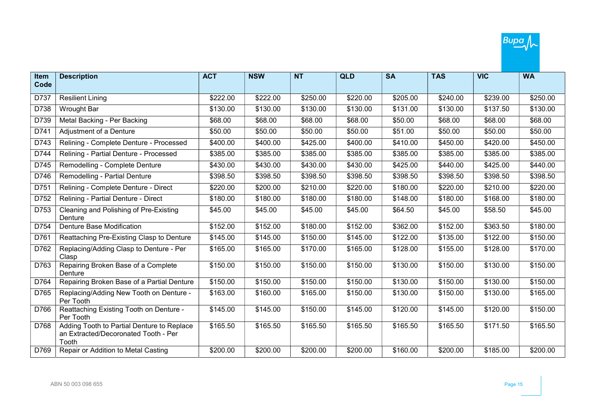

| <b>Item</b> | <b>Description</b>                                                                          | <b>ACT</b> | <b>NSW</b> | <b>NT</b> | <b>QLD</b> | <b>SA</b> | <b>TAS</b> | <b>VIC</b> | <b>WA</b> |
|-------------|---------------------------------------------------------------------------------------------|------------|------------|-----------|------------|-----------|------------|------------|-----------|
| Code        |                                                                                             |            |            |           |            |           |            |            |           |
| D737        | <b>Resilient Lining</b>                                                                     | \$222.00   | \$222.00   | \$250.00  | \$220.00   | \$205.00  | \$240.00   | \$239.00   | \$250.00  |
| D738        | Wrought Bar                                                                                 | \$130.00   | \$130.00   | \$130.00  | \$130.00   | \$131.00  | \$130.00   | \$137.50   | \$130.00  |
| D739        | Metal Backing - Per Backing                                                                 | \$68.00    | \$68.00    | \$68.00   | \$68.00    | \$50.00   | \$68.00    | \$68.00    | \$68.00   |
| D741        | Adjustment of a Denture                                                                     | \$50.00    | \$50.00    | \$50.00   | \$50.00    | \$51.00   | \$50.00    | \$50.00    | \$50.00   |
| D743        | Relining - Complete Denture - Processed                                                     | \$400.00   | \$400.00   | \$425.00  | \$400.00   | \$410.00  | \$450.00   | \$420.00   | \$450.00  |
| D744        | Relining - Partial Denture - Processed                                                      | \$385.00   | \$385.00   | \$385.00  | \$385.00   | \$385.00  | \$385.00   | \$385.00   | \$385.00  |
| D745        | Remodelling - Complete Denture                                                              | \$430.00   | \$430.00   | \$430.00  | \$430.00   | \$425.00  | \$440.00   | \$425.00   | \$440.00  |
| D746        | Remodelling - Partial Denture                                                               | \$398.50   | \$398.50   | \$398.50  | \$398.50   | \$398.50  | \$398.50   | \$398.50   | \$398.50  |
| D751        | Relining - Complete Denture - Direct                                                        | \$220.00   | \$200.00   | \$210.00  | \$220.00   | \$180.00  | \$220.00   | \$210.00   | \$220.00  |
| D752        | Relining - Partial Denture - Direct                                                         | \$180.00   | \$180.00   | \$180.00  | \$180.00   | \$148.00  | \$180.00   | \$168.00   | \$180.00  |
| D753        | Cleaning and Polishing of Pre-Existing<br>Denture                                           | \$45.00    | \$45.00    | \$45.00   | \$45.00    | \$64.50   | \$45.00    | \$58.50    | \$45.00   |
| D754        | Denture Base Modification                                                                   | \$152.00   | \$152.00   | \$180.00  | \$152.00   | \$362.00  | \$152.00   | \$363.50   | \$180.00  |
| D761        | Reattaching Pre-Existing Clasp to Denture                                                   | \$145.00   | \$145.00   | \$150.00  | \$145.00   | \$122.00  | \$135.00   | \$122.00   | \$150.00  |
| D762        | Replacing/Adding Clasp to Denture - Per<br>Clasp                                            | \$165.00   | \$165.00   | \$170.00  | \$165.00   | \$128.00  | \$155.00   | \$128.00   | \$170.00  |
| D763        | Repairing Broken Base of a Complete<br>Denture                                              | \$150.00   | \$150.00   | \$150.00  | \$150.00   | \$130.00  | \$150.00   | \$130.00   | \$150.00  |
| D764        | Repairing Broken Base of a Partial Denture                                                  | \$150.00   | \$150.00   | \$150.00  | \$150.00   | \$130.00  | \$150.00   | \$130.00   | \$150.00  |
| D765        | Replacing/Adding New Tooth on Denture -<br>Per Tooth                                        | \$163.00   | \$160.00   | \$165.00  | \$150.00   | \$130.00  | \$150.00   | \$130.00   | \$165.00  |
| D766        | Reattaching Existing Tooth on Denture -<br>Per Tooth                                        | \$145.00   | \$145.00   | \$150.00  | \$145.00   | \$120.00  | \$145.00   | \$120.00   | \$150.00  |
| D768        | Adding Tooth to Partial Denture to Replace<br>an Extracted/Decoronated Tooth - Per<br>Tooth | \$165.50   | \$165.50   | \$165.50  | \$165.50   | \$165.50  | \$165.50   | \$171.50   | \$165.50  |
| D769        | Repair or Addition to Metal Casting                                                         | \$200.00   | \$200.00   | \$200.00  | \$200.00   | \$160.00  | \$200.00   | \$185.00   | \$200.00  |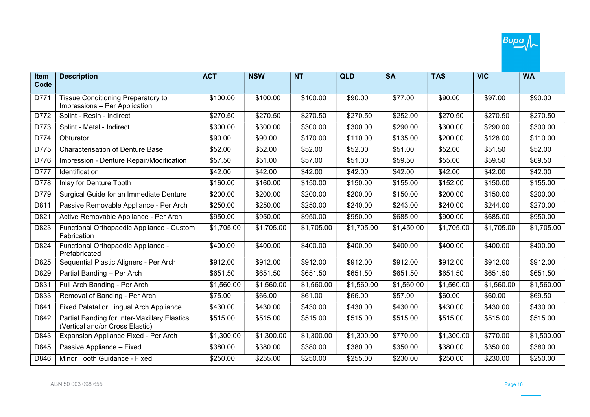

| Item | <b>Description</b>                                                              | <b>ACT</b> | <b>NSW</b> | <b>NT</b>  | <b>QLD</b> | <b>SA</b>  | <b>TAS</b> | <b>VIC</b> | <b>WA</b>  |
|------|---------------------------------------------------------------------------------|------------|------------|------------|------------|------------|------------|------------|------------|
| Code |                                                                                 |            |            |            |            |            |            |            |            |
| D771 | <b>Tissue Conditioning Preparatory to</b><br>Impressions - Per Application      | \$100.00   | \$100.00   | \$100.00   | \$90.00    | \$77.00    | \$90.00    | \$97.00    | \$90.00    |
| D772 | Splint - Resin - Indirect                                                       | \$270.50   | \$270.50   | \$270.50   | \$270.50   | \$252.00   | \$270.50   | \$270.50   | \$270.50   |
| D773 | Splint - Metal - Indirect                                                       | \$300.00   | \$300.00   | \$300.00   | \$300.00   | \$290.00   | \$300.00   | \$290.00   | \$300.00   |
| D774 | Obturator                                                                       | \$90.00    | \$90.00    | \$170.00   | \$110.00   | \$135.00   | \$200.00   | \$128.00   | \$110.00   |
| D775 | <b>Characterisation of Denture Base</b>                                         | \$52.00    | \$52.00    | \$52.00    | \$52.00    | \$51.00    | \$52.00    | \$51.50    | \$52.00    |
| D776 | Impression - Denture Repair/Modification                                        | \$57.50    | \$51.00    | \$57.00    | \$51.00    | \$59.50    | \$55.00    | \$59.50    | \$69.50    |
| D777 | Identification                                                                  | \$42.00    | \$42.00    | \$42.00    | \$42.00    | \$42.00    | \$42.00    | \$42.00    | \$42.00    |
| D778 | Inlay for Denture Tooth                                                         | \$160.00   | \$160.00   | \$150.00   | \$150.00   | \$155.00   | \$152.00   | \$150.00   | \$155.00   |
| D779 | Surgical Guide for an Immediate Denture                                         | \$200.00   | \$200.00   | \$200.00   | \$200.00   | \$150.00   | \$200.00   | \$150.00   | \$200.00   |
| D811 | Passive Removable Appliance - Per Arch                                          | \$250.00   | \$250.00   | \$250.00   | \$240.00   | \$243.00   | \$240.00   | \$244.00   | \$270.00   |
| D821 | Active Removable Appliance - Per Arch                                           | \$950.00   | \$950.00   | \$950.00   | \$950.00   | \$685.00   | \$900.00   | \$685.00   | \$950.00   |
| D823 | Functional Orthopaedic Appliance - Custom<br>Fabrication                        | \$1,705.00 | \$1,705.00 | \$1,705.00 | \$1,705.00 | \$1,450.00 | \$1,705.00 | \$1,705.00 | \$1,705.00 |
| D824 | Functional Orthopaedic Appliance -<br>Prefabricated                             | \$400.00   | \$400.00   | \$400.00   | \$400.00   | \$400.00   | \$400.00   | \$400.00   | \$400.00   |
| D825 | Sequential Plastic Aligners - Per Arch                                          | \$912.00   | \$912.00   | \$912.00   | \$912.00   | \$912.00   | \$912.00   | \$912.00   | \$912.00   |
| D829 | Partial Banding - Per Arch                                                      | \$651.50   | \$651.50   | \$651.50   | \$651.50   | \$651.50   | \$651.50   | \$651.50   | \$651.50   |
| D831 | Full Arch Banding - Per Arch                                                    | \$1,560.00 | \$1,560.00 | \$1,560.00 | \$1,560.00 | \$1,560.00 | \$1,560.00 | \$1,560.00 | \$1,560.00 |
| D833 | Removal of Banding - Per Arch                                                   | \$75.00    | \$66.00    | \$61.00    | \$66.00    | \$57.00    | \$60.00    | \$60.00    | \$69.50    |
| D841 | Fixed Palatal or Lingual Arch Appliance                                         | \$430.00   | \$430.00   | \$430.00   | \$430.00   | \$430.00   | \$430.00   | \$430.00   | \$430.00   |
| D842 | Partial Banding for Inter-Maxillary Elastics<br>(Vertical and/or Cross Elastic) | \$515.00   | \$515.00   | \$515.00   | \$515.00   | \$515.00   | \$515.00   | \$515.00   | \$515.00   |
| D843 | Expansion Appliance Fixed - Per Arch                                            | \$1,300.00 | \$1,300.00 | \$1,300.00 | \$1,300.00 | \$770.00   | \$1,300.00 | \$770.00   | \$1,500.00 |
| D845 | Passive Appliance - Fixed                                                       | \$380.00   | \$380.00   | \$380.00   | \$380.00   | \$350.00   | \$380.00   | \$350.00   | \$380.00   |
| D846 | Minor Tooth Guidance - Fixed                                                    | \$250.00   | \$255.00   | \$250.00   | \$255.00   | \$230.00   | \$250.00   | \$230.00   | \$250.00   |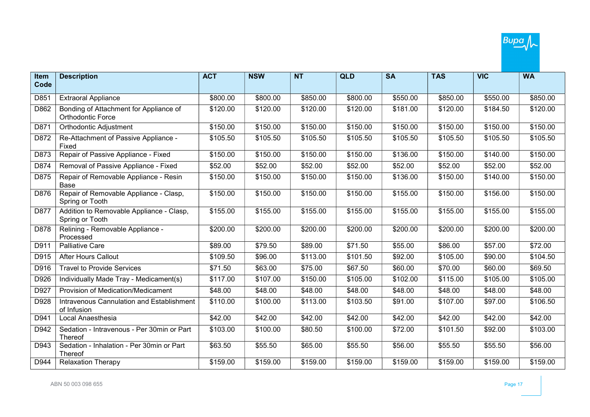

| Item | <b>Description</b>                                          | <b>ACT</b> | <b>NSW</b> | <b>NT</b> | <b>QLD</b> | <b>SA</b> | <b>TAS</b> | <b>VIC</b> | <b>WA</b> |
|------|-------------------------------------------------------------|------------|------------|-----------|------------|-----------|------------|------------|-----------|
| Code |                                                             |            |            |           |            |           |            |            |           |
| D851 | <b>Extraoral Appliance</b>                                  | \$800.00   | \$800.00   | \$850.00  | \$800.00   | \$550.00  | \$850.00   | \$550.00   | \$850.00  |
| D862 | Bonding of Attachment for Appliance of<br>Orthodontic Force | \$120.00   | \$120.00   | \$120.00  | \$120.00   | \$181.00  | \$120.00   | \$184.50   | \$120.00  |
| D871 | Orthodontic Adjustment                                      | \$150.00   | \$150.00   | \$150.00  | \$150.00   | \$150.00  | \$150.00   | \$150.00   | \$150.00  |
| D872 | Re-Attachment of Passive Appliance -<br>Fixed               | \$105.50   | \$105.50   | \$105.50  | \$105.50   | \$105.50  | \$105.50   | \$105.50   | \$105.50  |
| D873 | Repair of Passive Appliance - Fixed                         | \$150.00   | \$150.00   | \$150.00  | \$150.00   | \$136.00  | \$150.00   | \$140.00   | \$150.00  |
| D874 | Removal of Passive Appliance - Fixed                        | \$52.00    | \$52.00    | \$52.00   | \$52.00    | \$52.00   | \$52.00    | \$52.00    | \$52.00   |
| D875 | Repair of Removable Appliance - Resin<br>Base               | \$150.00   | \$150.00   | \$150.00  | \$150.00   | \$136.00  | \$150.00   | \$140.00   | \$150.00  |
| D876 | Repair of Removable Appliance - Clasp,<br>Spring or Tooth   | \$150.00   | \$150.00   | \$150.00  | \$150.00   | \$155.00  | \$150.00   | \$156.00   | \$150.00  |
| D877 | Addition to Removable Appliance - Clasp,<br>Spring or Tooth | \$155.00   | \$155.00   | \$155.00  | \$155.00   | \$155.00  | \$155.00   | \$155.00   | \$155.00  |
| D878 | Relining - Removable Appliance -<br>Processed               | \$200.00   | \$200.00   | \$200.00  | \$200.00   | \$200.00  | \$200.00   | \$200.00   | \$200.00  |
| D911 | <b>Palliative Care</b>                                      | \$89.00    | \$79.50    | \$89.00   | \$71.50    | \$55.00   | \$86.00    | \$57.00    | \$72.00   |
| D915 | <b>After Hours Callout</b>                                  | \$109.50   | \$96.00    | \$113.00  | \$101.50   | \$92.00   | \$105.00   | \$90.00    | \$104.50  |
| D916 | <b>Travel to Provide Services</b>                           | \$71.50    | \$63.00    | \$75.00   | \$67.50    | \$60.00   | \$70.00    | \$60.00    | \$69.50   |
| D926 | Individually Made Tray - Medicament(s)                      | \$117.00   | \$107.00   | \$150.00  | \$105.00   | \$102.00  | \$115.00   | \$105.00   | \$105.00  |
| D927 | Provision of Medication/Medicament                          | \$48.00    | \$48.00    | \$48.00   | \$48.00    | \$48.00   | \$48.00    | \$48.00    | \$48.00   |
| D928 | Intravenous Cannulation and Establishment<br>of Infusion    | \$110.00   | \$100.00   | \$113.00  | \$103.50   | \$91.00   | \$107.00   | \$97.00    | \$106.50  |
| D941 | Local Anaesthesia                                           | \$42.00    | \$42.00    | \$42.00   | \$42.00    | \$42.00   | \$42.00    | \$42.00    | \$42.00   |
| D942 | Sedation - Intravenous - Per 30min or Part<br>Thereof       | \$103.00   | \$100.00   | \$80.50   | \$100.00   | \$72.00   | \$101.50   | \$92.00    | \$103.00  |
| D943 | Sedation - Inhalation - Per 30min or Part<br>Thereof        | \$63.50    | \$55.50    | \$65.00   | \$55.50    | \$56.00   | \$55.50    | \$55.50    | \$56.00   |
| D944 | <b>Relaxation Therapy</b>                                   | \$159.00   | \$159.00   | \$159.00  | \$159.00   | \$159.00  | \$159.00   | \$159.00   | \$159.00  |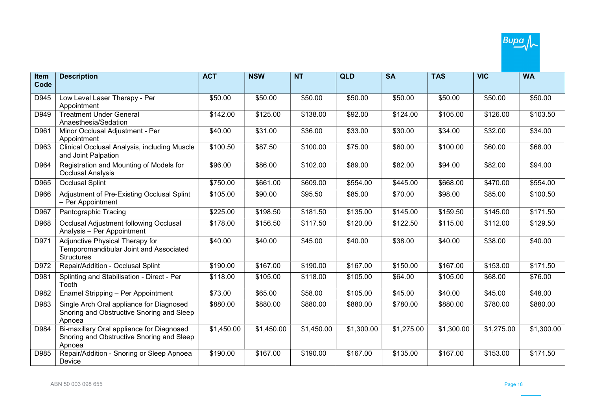| <b>Item</b> | <b>Description</b>                                                                               | <b>ACT</b> | <b>NSW</b> | <b>NT</b>  | <b>QLD</b> | <b>SA</b>  | <b>TAS</b> | <b>VIC</b>        | <b>WA</b>  |
|-------------|--------------------------------------------------------------------------------------------------|------------|------------|------------|------------|------------|------------|-------------------|------------|
| Code        |                                                                                                  |            |            |            |            |            |            |                   |            |
| D945        | Low Level Laser Therapy - Per<br>Appointment                                                     | \$50.00    | \$50.00    | \$50.00    | \$50.00    | \$50.00    | \$50.00    | \$50.00           | \$50.00    |
| D949        | <b>Treatment Under General</b><br>Anaesthesia/Sedation                                           | \$142.00   | \$125.00   | \$138.00   | \$92.00    | \$124.00   | \$105.00   | \$126.00          | \$103.50   |
| D961        | Minor Occlusal Adjustment - Per<br>Appointment                                                   | \$40.00    | \$31.00    | \$36.00    | \$33.00    | \$30.00    | \$34.00    | \$32.00           | \$34.00    |
| D963        | Clinical Occlusal Analysis, including Muscle<br>and Joint Palpation                              | \$100.50   | \$87.50    | \$100.00   | \$75.00    | \$60.00    | \$100.00   | $\frac{1}{60.00}$ | \$68.00    |
| D964        | Registration and Mounting of Models for<br><b>Occlusal Analysis</b>                              | \$96.00    | \$86.00    | \$102.00   | \$89.00    | \$82.00    | \$94.00    | \$82.00           | \$94.00    |
| D965        | <b>Occlusal Splint</b>                                                                           | \$750.00   | \$661.00   | \$609.00   | \$554.00   | \$445.00   | \$668.00   | \$470.00          | \$554.00   |
| D966        | Adjustment of Pre-Existing Occlusal Splint<br>- Per Appointment                                  | \$105.00   | \$90.00    | \$95.50    | \$85.00    | \$70.00    | \$98.00    | \$85.00           | \$100.50   |
| D967        | Pantographic Tracing                                                                             | \$225.00   | \$198.50   | \$181.50   | \$135.00   | \$145.00   | \$159.50   | \$145.00          | \$171.50   |
| D968        | Occlusal Adjustment following Occlusal<br>Analysis - Per Appointment                             | \$178.00   | \$156.50   | \$117.50   | \$120.00   | \$122.50   | \$115.00   | \$112.00          | \$129.50   |
| D971        | Adjunctive Physical Therapy for<br>Temporomandibular Joint and Associated<br><b>Structures</b>   | \$40.00    | \$40.00    | \$45.00    | \$40.00    | \$38.00    | \$40.00    | \$38.00           | \$40.00    |
| D972        | Repair/Addition - Occlusal Splint                                                                | \$190.00   | \$167.00   | \$190.00   | \$167.00   | \$150.00   | \$167.00   | \$153.00          | \$171.50   |
| D981        | Splinting and Stabilisation - Direct - Per<br>Tooth                                              | \$118.00   | \$105.00   | \$118.00   | \$105.00   | \$64.00    | \$105.00   | \$68.00           | \$76.00    |
| D982        | Enamel Stripping - Per Appointment                                                               | \$73.00    | \$65.00    | \$58.00    | \$105.00   | \$45.00    | \$40.00    | \$45.00           | \$48.00    |
| D983        | Single Arch Oral appliance for Diagnosed<br>Snoring and Obstructive Snoring and Sleep<br>Apnoea  | \$880.00   | \$880.00   | \$880.00   | \$880.00   | \$780.00   | \$880.00   | \$780.00          | \$880.00   |
| D984        | Bi-maxillary Oral appliance for Diagnosed<br>Snoring and Obstructive Snoring and Sleep<br>Apnoea | \$1,450.00 | \$1,450.00 | \$1,450.00 | \$1,300.00 | \$1,275.00 | \$1,300.00 | \$1,275.00        | \$1,300.00 |
| D985        | Repair/Addition - Snoring or Sleep Apnoea<br>Device                                              | \$190.00   | \$167.00   | \$190.00   | \$167.00   | \$135.00   | \$167.00   | \$153.00          | \$171.50   |